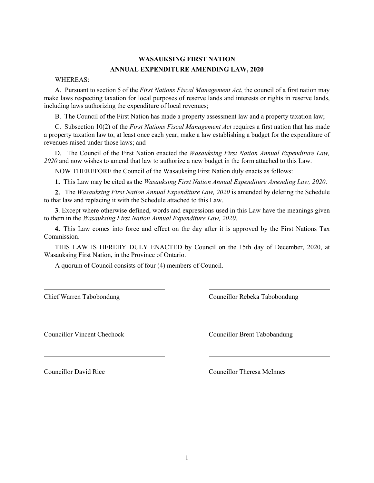## **WASAUKSING FIRST NATION ANNUAL EXPENDITURE AMENDING LAW, 2020**

WHEREAS:

A. Pursuant to section 5 of the *First Nations Fiscal Management Act*, the council of a first nation may make laws respecting taxation for local purposes of reserve lands and interests or rights in reserve lands, including laws authorizing the expenditure of local revenues;

B. The Council of the First Nation has made a property assessment law and a property taxation law;

C. Subsection 10(2) of the *First Nations Fiscal Management Act* requires a first nation that has made a property taxation law to, at least once each year, make a law establishing a budget for the expenditure of revenues raised under those laws; and

D. The Council of the First Nation enacted the *Wasauksing First Nation Annual Expenditure Law, 2020* and now wishes to amend that law to authorize a new budget in the form attached to this Law.

NOW THEREFORE the Council of the Wasauksing First Nation duly enacts as follows:

**1.** This Law may be cited as the *Wasauksing First Nation Annual Expenditure Amending Law, 2020*.

**2.** The *Wasauksing First Nation Annual Expenditure Law, 2020* is amended by deleting the Schedule to that law and replacing it with the Schedule attached to this Law.

**3**. Except where otherwise defined, words and expressions used in this Law have the meanings given to them in the *Wasauksing First Nation Annual Expenditure Law, 2020*.

**4.** This Law comes into force and effect on the day after it is approved by the First Nations Tax Commission.

THIS LAW IS HEREBY DULY ENACTED by Council on the 15th day of December, 2020, at Wasauksing First Nation, in the Province of Ontario.

A quorum of Council consists of four (4) members of Council.

Chief Warren Tabobondung Councillor Rebeka Tabobondung

Councillor Vincent Chechock Councillor Brent Tabobandung

Councillor David Rice Councillor Theresa McInnes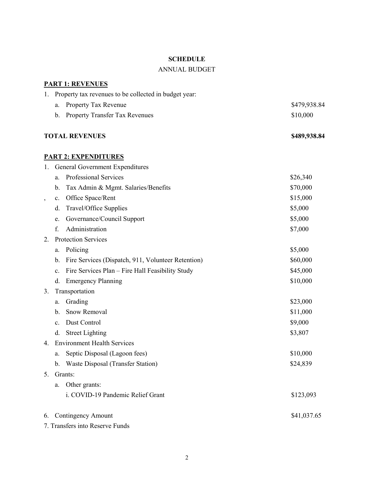#### **SCHEDULE**

### ANNUAL BUDGET

# **PART 1: REVENUES** 1. Property tax revenues to be collected in budget year: a. Property Tax Revenue  $$479,938.84$ b. Property Transfer Tax Revenues  $$10,000$ **TOTAL REVENUES \$489,938.84 PART 2: EXPENDITURES** 1. General Government Expenditures a. Professional Services  $\frac{$26,340}{20}$ b. Tax Admin & Mgmt. Salaries/Benefits \$70,000 c. Office Space/Rent \$15,000 d. Travel/Office Supplies  $$5,000$ e. Governance/Council Support \$5,000 f. Administration  $\text{S7,000}$ 2. Protection Services a. Policing  $$5,000$ b. Fire Services (Dispatch, 911, Volunteer Retention) \$60,000 c. Fire Services Plan – Fire Hall Feasibility Study \$45,000 d. Emergency Planning \$10,000 3. Transportation a. Grading  $$23,000$ b. Snow Removal  $$11,000$ c. Dust Control  $\qquad$  \$9,000 d. Street Lighting \$3,807 4. Environment Health Services a. Septic Disposal (Lagoon fees)  $$10,000$ b. Waste Disposal (Transfer Station) \$24,839 5. Grants: a. Other grants: i. COVID-19 Pandemic Relief Grant \$123,093 6. Contingency Amount \$41,037.65 7. Transfers into Reserve Funds